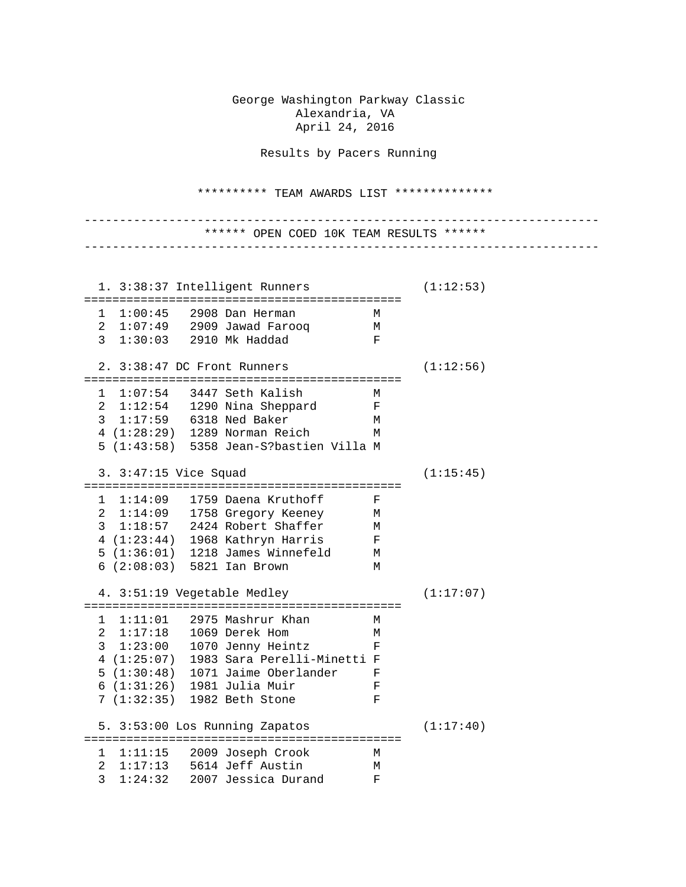George Washington Parkway Classic Alexandria, VA April 24, 2016

Results by Pacers Running

\*\*\*\*\*\*\*\*\*\* TEAM AWARDS LIST \*\*\*\*\*\*\*\*\*\*\*\*\*\*

------------------------------------------------------------------------- \*\*\*\*\*\* OPEN COED 10K TEAM RESULTS \*\*\*\*\*\* -------------------------------------------------------------------------

| 1. 3:38:37 Intelligent Runners                                                                                                                                                  | (1:12:53) |
|---------------------------------------------------------------------------------------------------------------------------------------------------------------------------------|-----------|
| ==============================<br>M                                                                                                                                             |           |
| 1 1:00:45 2908 Dan Herman<br>2 1:07:49 2909 Jawad Farooq<br>M                                                                                                                   |           |
| 3 1:30:03 2910 Mk Haddad<br>F                                                                                                                                                   |           |
|                                                                                                                                                                                 |           |
| 2. 3:38:47 DC Front Runners                                                                                                                                                     | (1:12:56) |
| 1 1:07:54<br>3447 Seth Kalish<br>M                                                                                                                                              |           |
| 2 1:12:54<br>1290 Nina Sheppard<br>$\mathbf F$                                                                                                                                  |           |
| 3 1:17:59 6318 Ned Baker<br>M                                                                                                                                                   |           |
| 4 (1:28:29) 1289 Norman Reich<br>M                                                                                                                                              |           |
| 5 (1:43:58) 5358 Jean-S?bastien Villa M                                                                                                                                         |           |
|                                                                                                                                                                                 |           |
| 3. 3:47:15 Vice Squad                                                                                                                                                           | (1:15:45) |
|                                                                                                                                                                                 |           |
| 1 1:14:09 1759 Daena Kruthoff<br>F                                                                                                                                              |           |
| 2 1:14:09 1758 Gregory Keeney<br>М                                                                                                                                              |           |
| 3 1:18:57 2424 Robert Shaffer<br>М                                                                                                                                              |           |
| 4 (1:23:44) 1968 Kathryn Harris<br>F                                                                                                                                            |           |
| 5 (1:36:01) 1218 James Winnefeld<br>М                                                                                                                                           |           |
| 6 (2:08:03) 5821 Ian Brown<br>M                                                                                                                                                 |           |
| 4. 3:51:19 Vegetable Medley                                                                                                                                                     | (1:17:07) |
| 1 1:11:01<br>2975 Mashrur Khan<br>М                                                                                                                                             |           |
| 2 1:17:18 1069 Derek Hom<br>M                                                                                                                                                   |           |
|                                                                                                                                                                                 |           |
|                                                                                                                                                                                 |           |
|                                                                                                                                                                                 |           |
|                                                                                                                                                                                 |           |
| 3 1:23:00 1070 Jenny Heintz<br>4 (1:25:07) 1983 Sara Perelli-Minetti F<br>5 (1:30:48) 1071 Jaime Oberlander F<br>6 (1:31:26) 1981 Julia Muir F<br>7 (1:32:35) 1982 Beth Stone F |           |
|                                                                                                                                                                                 |           |
| 5. 3:53:00 Los Running Zapatos                                                                                                                                                  | (1:17:40) |
|                                                                                                                                                                                 |           |
| $1 \quad 1:11:15$<br>2009 Joseph Crook<br>M                                                                                                                                     |           |
| 2 1:17:13 5614 Jeff Austin<br>М                                                                                                                                                 |           |
| 1:24:32<br>$\overline{3}$<br>2007 Jessica Durand<br>F                                                                                                                           |           |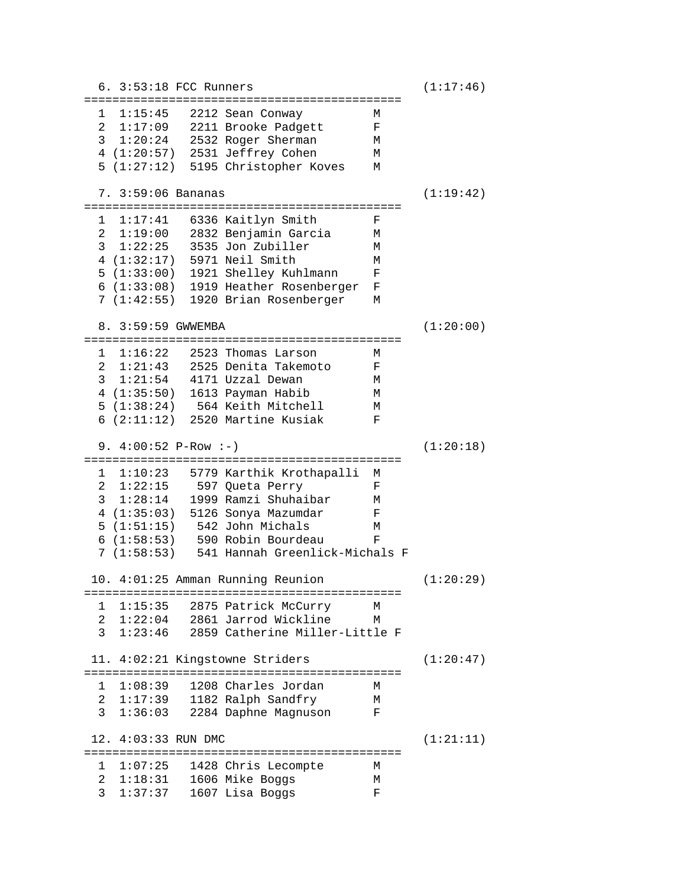6. 3:53:18 FCC Runners (1:17:46) ============================================= 1 1:15:45 2212 Sean Conway M<br>2 1:17:09 2211 Brooke Padgett F 2 1:17:09 2211 Brooke Padgett F 3 1:20:24 2532 Roger Sherman M  $4(1:20:57)$  2531 Jeffrey Cohen 5 (1:27:12) 5195 Christopher Koves M 7. 3:59:06 Bananas (1:19:42) ============================================= 1 1:17:41 6336 Kaitlyn Smith F 2 1:19:00 2832 Benjamin Garcia M 3 1:22:25 3535 Jon Zubiller 4 (1:32:17) 5971 Neil Smith M 5 (1:33:00) 1921 Shelley Kuhlmann F 6 (1:33:08) 1919 Heather Rosenberger F 7 (1:42:55) 1920 Brian Rosenberger M 8. 3:59:59 GWWEMBA (1:20:00) ============================================= 1 1:16:22 2523 Thomas Larson M 2 1:21:43 2525 Denita Takemoto F 3 1:21:54 4171 Uzzal Dewan M<br>4 (1:35:50) 1613 Payman Habib M 4 (1:35:50) 1613 Payman Habib M 5 (1:38:24) 564 Keith Mitchell 6 (2:11:12) 2520 Martine Kusiak F 9. 4:00:52 P-Row :-) (1:20:18) ============================================= 1 1:10:23 5779 Karthik Krothapalli M 2 1:22:15 597 Queta Perry F 3 1:28:14 1999 Ramzi Shuhaibar M 4 (1:35:03) 5126 Sonya Mazumdar F 5 (1:51:15) 542 John Michals M 6 (1:58:53) 590 Robin Bourdeau F 7 (1:58:53) 541 Hannah Greenlick-Michals F 10. 4:01:25 Amman Running Reunion (1:20:29) ============================================= 1 1:15:35 2875 Patrick McCurry M 2 1:22:04 2861 Jarrod Wickline M 3 1:23:46 2859 Catherine Miller-Little F 11. 4:02:21 Kingstowne Striders (1:20:47) ============================================= 1 1:08:39 1208 Charles Jordan M 2 1:17:39 1182 Ralph Sandfry M 3 1:36:03 2284 Daphne Magnuson F 12. 4:03:33 RUN DMC (1:21:11) ============================================= 1 1:07:25 1428 Chris Lecompte M 2 1:18:31 1606 Mike Boggs<br>3 1:37:37 1607 Lisa Boggs F  $3\quad 1:37:37$   $1607$  Lisa Boggs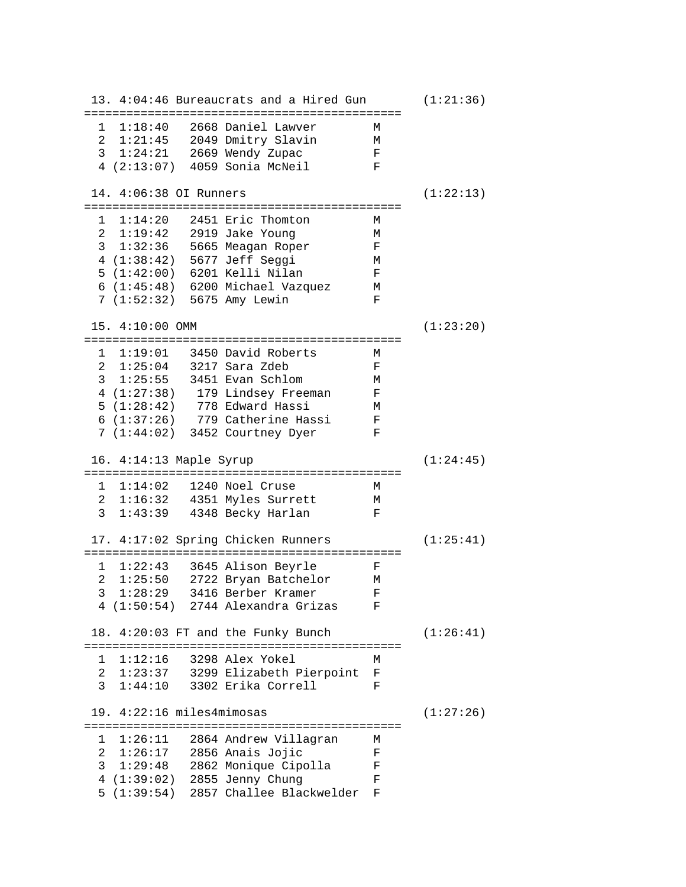13. 4:04:46 Bureaucrats and a Hired Gun (1:21:36) ============================================= 1 1:18:40 2668 Daniel Lawver M 2 1:21:45 2049 Dmitry Slavin M 3 1:24:21 2669 Wendy Zupac F 4 (2:13:07) 4059 Sonia McNeil F 14. 4:06:38 OI Runners (1:22:13) ============================================= 1 1:14:20 2451 Eric Thomton M 2 1:19:42 2919 Jake Young M 3 1:32:36 5665 Meagan Roper F<br>4 (1:38:42) 5677 Jeff Seggi M 4 (1:38:42) 5677 Jeff Seggi M<br>5 (1:42:00) 6201 Kelli Nilan F 5 (1:42:00) 6201 Kelli Nilan F 6 (1:45:48) 6200 Michael Vazquez M 7 (1:52:32) 5675 Amy Lewin F 15. 4:10:00 OMM (1:23:20) ============================================= 1 1:19:01 3450 David Roberts M 2 1:25:04 3217 Sara Zdeb F<br>3 1:25:55 3451 Evan Schlom M 3 1:25:55 3451 Evan Schlom M 4 (1:27:38) 179 Lindsey Freeman F 5 (1:28:42) 778 Edward Hassi M 6 (1:37:26) 779 Catherine Hassi F 7 (1:44:02) 3452 Courtney Dyer F 16. 4:14:13 Maple Syrup (1:24:45) ============================================= 1 1:14:02 1240 Noel Cruse M<br>2 1:16:32 4351 Myles Surrett M 2 1:16:32 4351 Myles Surrett M 3 1:43:39 4348 Becky Harlan F 17. 4:17:02 Spring Chicken Runners (1:25:41) ============================================= 1 1:22:43 3645 Alison Beyrle F 2 1:25:50 2722 Bryan Batchelor M 3 1:28:29 3416 Berber Kramer F 4 (1:50:54) 2744 Alexandra Grizas F 18. 4:20:03 FT and the Funky Bunch (1:26:41) ============================================= 1 1:12:16 3298 Alex Yokel M 2 1:23:37 3299 Elizabeth Pierpoint F 3 1:44:10 3302 Erika Correll F 19. 4:22:16 miles4mimosas (1:27:26) ============================================= 1 1:26:11 2864 Andrew Villagran M 2 1:26:17 2856 Anais Jojic F 3 1:29:48 2862 Monique Cipolla F 4 (1:39:02) 2855 Jenny Chung F 5 (1:39:54) 2857 Challee Blackwelder F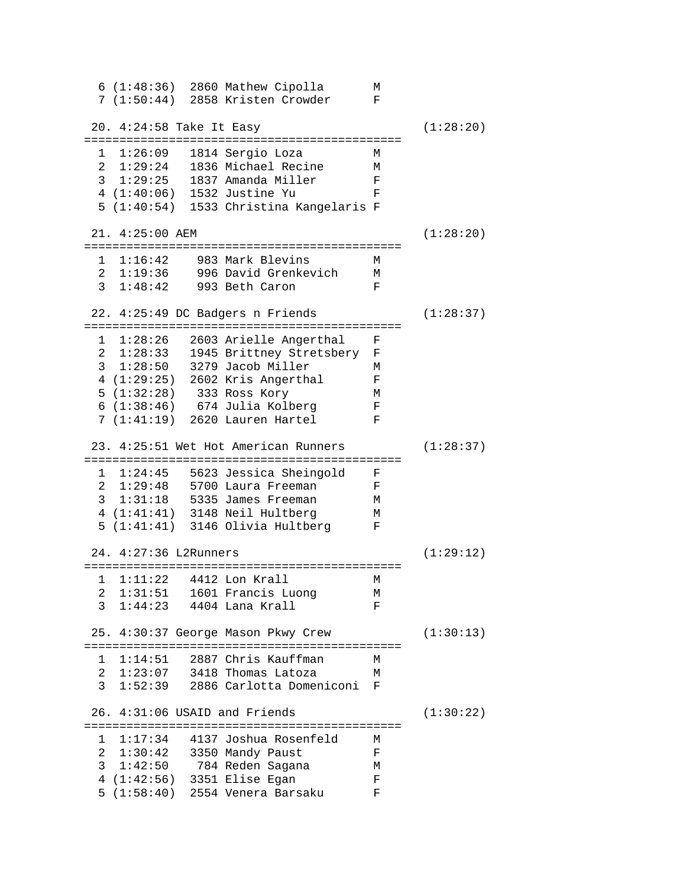6 (1:48:36) 2860 Mathew Cipolla M 7 (1:50:44) 2858 Kristen Crowder F 20. 4:24:58 Take It Easy (1:28:20) ============================================= 1 1:26:09 1814 Sergio Loza M<br>2 1:29:24 1836 Michael Recine M 2 1:29:24 1836 Michael Recine M 3 1:29:25 1837 Amanda Miller F 4 (1:40:06) 1532 Justine Yu F 5 (1:40:54) 1533 Christina Kangelaris F 21. 4:25:00 AEM (1:28:20) ============================================= 1 1:16:42 983 Mark Blevins M 2 1:19:36 996 David Grenkevich M 3 1:48:42 993 Beth Caron F 22. 4:25:49 DC Badgers n Friends (1:28:37) ============================================= 1 1:28:26 2603 Arielle Angerthal F 2 1:28:33 1945 Brittney Stretsbery F 3 1:28:50 3279 Jacob Miller M<br>4 (1:29:25) 2602 Kris Angerthal F 4 (1:29:25) 2602 Kris Angerthal F 5 (1:32:28) 333 Ross Kory M 6 (1:38:46) 674 Julia Kolberg F 7 (1:41:19) 2620 Lauren Hartel F 23. 4:25:51 Wet Hot American Runners (1:28:37) ============================================= 1 1:24:45 5623 Jessica Sheingold F<br>2 1:29:48 5700 Laura Freeman F 2 1:29:48 5700 Laura Freeman F 3 1:31:18 5335 James Freeman M 4 (1:41:41) 3148 Neil Hultberg M 5 (1:41:41) 3146 Olivia Hultberg F 24. 4:27:36 L2Runners (1:29:12) ============================================= 1 1:11:22 4412 Lon Krall M<br>2 1:31:51 1601 Francis Luong M 2 1:31:51 1601 Francis Luong M<br>3 1:44:23 4404 Lana Krall F 3 1:44:23 4404 Lana Krall F 25. 4:30:37 George Mason Pkwy Crew (1:30:13) ============================================= 1 1:14:51 2887 Chris Kauffman M 2 1:23:07 3418 Thomas Latoza M 3 1:52:39 2886 Carlotta Domeniconi F 26. 4:31:06 USAID and Friends (1:30:22) ============================================= 1 1:17:34 4137 Joshua Rosenfeld M 2 1:30:42 3350 Mandy Paust F 3 1:42:50 784 Reden Sagana M 4 (1:42:56) 3351 Elise Egan F 5 (1:58:40) 2554 Venera Barsaku F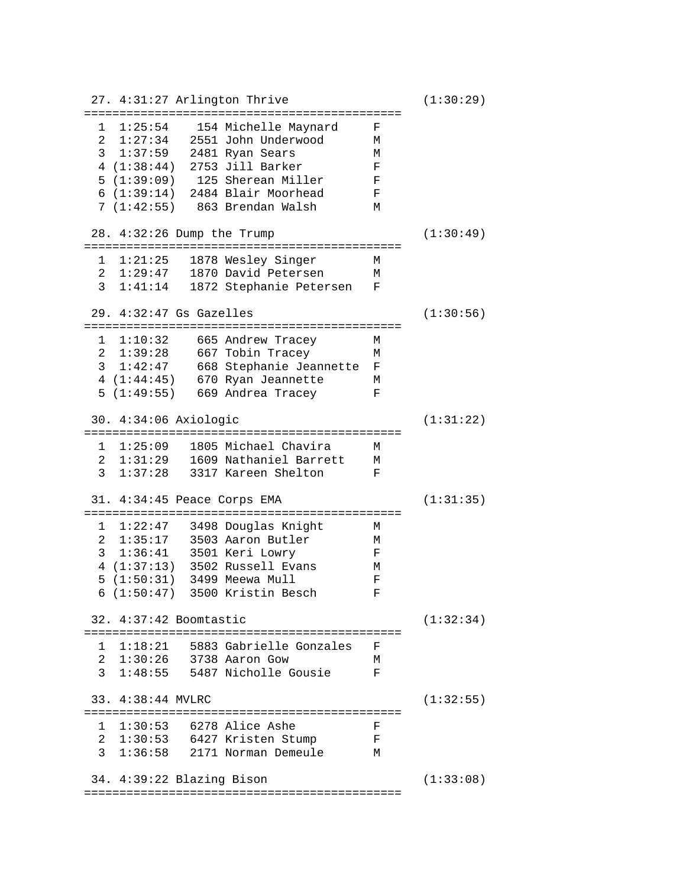27. 4:31:27 Arlington Thrive (1:30:29) ============================================= 1 1:25:54 154 Michelle Maynard F 2 1:27:34 2551 John Underwood M 3 1:37:59 2481 Ryan Sears<br>4 (1:38:44) 2753 Jill Barker F 4 (1:38:44) 2753 Jill Barker F<br>5 (1:39:09) 125 Sherean Miller F 5 (1:39:09) 125 Sherean Miller F<br>6 (1:39:14) 2484 Blair Moorhead F 6 (1:39:14) 2484 Blair Moorhead F 7 (1:42:55) 863 Brendan Walsh M 28. 4:32:26 Dump the Trump (1:30:49) ============================================= 1 1:21:25 1878 Wesley Singer M 2 1:29:47 1870 David Petersen M 3 1:41:14 1872 Stephanie Petersen F 29. 4:32:47 Gs Gazelles (1:30:56) ============================================= 1 1:10:32 665 Andrew Tracey M 2 1:39:28 667 Tobin Tracey M 3 1:42:47 668 Stephanie Jeannette F 4 (1:44:45) 670 Ryan Jeannette M 5 (1:49:55) 669 Andrea Tracey F 30. 4:34:06 Axiologic (1:31:22) ============================================= 1 1:25:09 1805 Michael Chavira M 2 1:31:29 1609 Nathaniel Barrett M 3 1:37:28 3317 Kareen Shelton F 31. 4:34:45 Peace Corps EMA (1:31:35) =============================================  $1 \quad 1:22:47$  3498 Douglas Knight 2 1:35:17 3503 Aaron Butler M 3 1:36:41 3501 Keri Lowry F 4 (1:37:13) 3502 Russell Evans M 5 (1:50:31) 3499 Meewa Mull F 6 (1:50:47) 3500 Kristin Besch F 32. 4:37:42 Boomtastic (1:32:34) ============================================= 1 1:18:21 5883 Gabrielle Gonzales F 2 1:30:26 3738 Aaron Gow 3 1:48:55 5487 Nicholle Gousie F 33. 4:38:44 MVLRC (1:32:55) ============================================= 1 1:30:53 6278 Alice Ashe F<br>2 1:30:53 6427 Kristen Stump F 2 1:30:53 6427 Kristen Stump 3 1:36:58 2171 Norman Demeule M 34. 4:39:22 Blazing Bison (1:33:08)

=============================================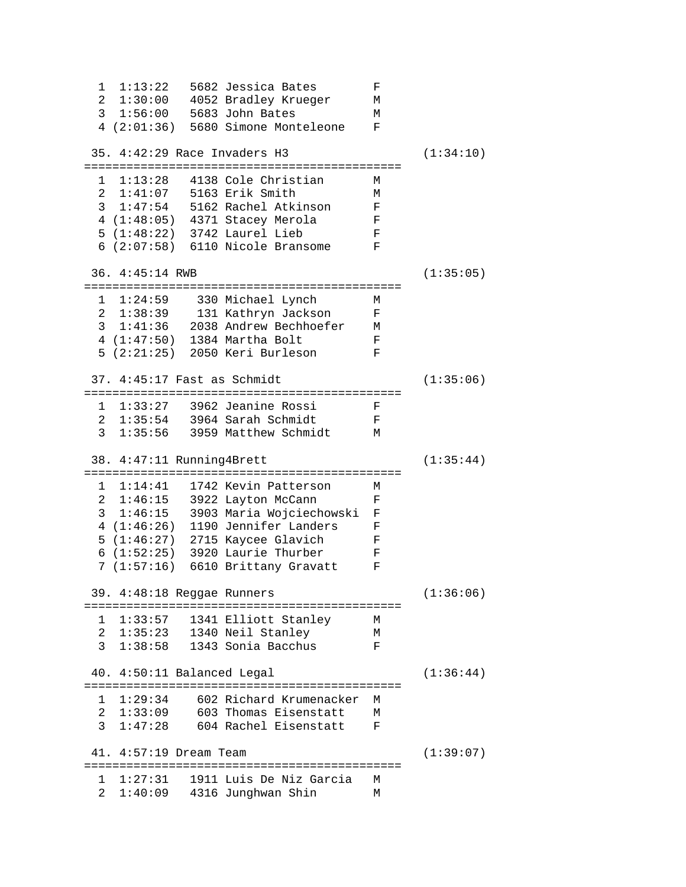1 1:13:22 5682 Jessica Bates F 2 1:30:00 4052 Bradley Krueger 3 1:56:00 5683 John Bates M 4 (2:01:36) 5680 Simone Monteleone F 35. 4:42:29 Race Invaders H3 (1:34:10) ============================================= 1 1:13:28 4138 Cole Christian M 2 1:41:07 5163 Erik Smith M<br>3 1:47:54 5162 Rachel Atkinson F 3 1:47:54 5162 Rachel Atkinson F 4 (1:48:05) 4371 Stacey Merola F 5 (1:48:22) 3742 Laurel Lieb F  $6$   $(2:07:58)$   $6110$  Nicole Bransome 36. 4:45:14 RWB (1:35:05) ============================================= 1 1:24:59 330 Michael Lynch M 2 1:38:39 131 Kathryn Jackson F 3 1:41:36 2038 Andrew Bechhoefer M 4 (1:47:50) 1384 Martha Bolt F 5 (2:21:25) 2050 Keri Burleson F 37. 4:45:17 Fast as Schmidt (1:35:06) ============================================= 1 1:33:27 3962 Jeanine Rossi F 2 1:35:54 3964 Sarah Schmidt F<br>3 1:35:56 3959 Matthew Schmidt M 3 1:35:56 3959 Matthew Schmidt 38. 4:47:11 Running4Brett (1:35:44) ============================================= 1 1:14:41 1742 Kevin Patterson M 2 1:46:15 3922 Layton McCann F 3 1:46:15 3903 Maria Wojciechowski F 4 (1:46:26) 1190 Jennifer Landers F 5 (1:46:27) 2715 Kaycee Glavich F 6 (1:52:25) 3920 Laurie Thurber F 7 (1:57:16) 6610 Brittany Gravatt F 39. 4:48:18 Reggae Runners (1:36:06) ============================================= 1 1:33:57 1341 Elliott Stanley M<br>2 1:35:23 1340 Neil Stanley M 2 1:35:23 1340 Neil Stanley M<br>3 1:38:58 1343 Sonia Bacchus F 3 1:38:58 1343 Sonia Bacchus F 40. 4:50:11 Balanced Legal (1:36:44) ============================================= 1 1:29:34 602 Richard Krumenacker M 2 1:33:09 603 Thomas Eisenstatt M 3 1:47:28 604 Rachel Eisenstatt F 41. 4:57:19 Dream Team (1:39:07) ============================================= 1 1:27:31 1911 Luis De Niz Garcia M 2 1:40:09 4316 Junghwan Shin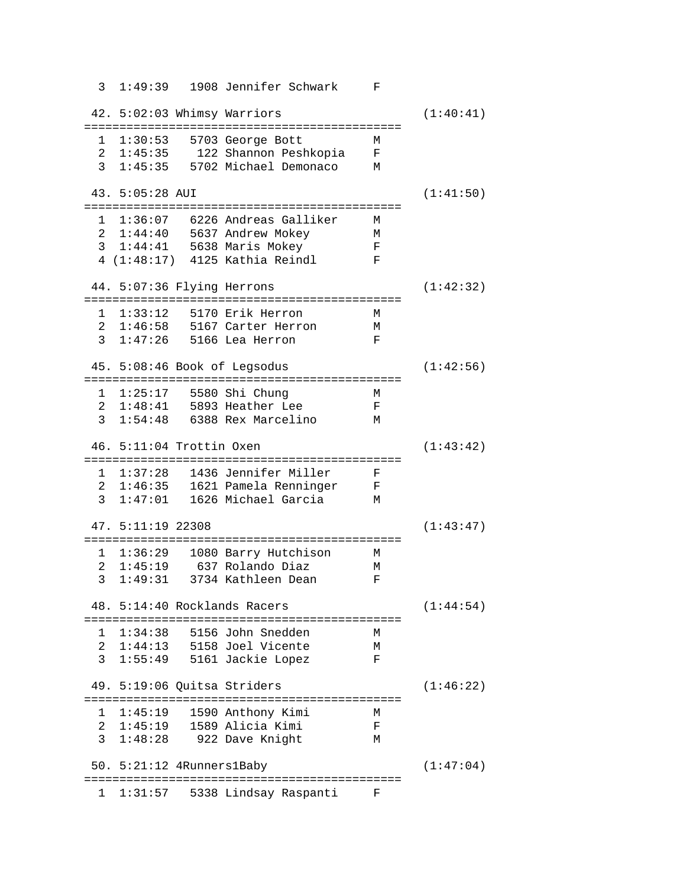3 1:49:39 1908 Jennifer Schwark F 42. 5:02:03 Whimsy Warriors (1:40:41) ============================================= 1 1:30:53 5703 George Bott M 2 1:45:35 122 Shannon Peshkopia F 3 1:45:35 5702 Michael Demonaco M 43. 5:05:28 AUI (1:41:50) ============================================= 1 1:36:07 6226 Andreas Galliker M<br>2 1:44:40 5637 Andrew Mokey M 2 1:44:40 5637 Andrew Mokey M 3 1:44:41 5638 Maris Mokey F 4 (1:48:17) 4125 Kathia Reindl F 44. 5:07:36 Flying Herrons (1:42:32) ============================================= 1 1:33:12 5170 Erik Herron M<br>2 1:46:58 5167 Carter Herron M 2 1:46:58 5167 Carter Herron M 3 1:47:26 5166 Lea Herron 45. 5:08:46 Book of Legsodus (1:42:56) ============================================= 1 1:25:17 5580 Shi Chung M 2 1:48:41 5893 Heather Lee 3 1:54:48 6388 Rex Marcelino M 46. 5:11:04 Trottin Oxen (1:43:42) ============================================= 1 1:37:28 1436 Jennifer Miller F 2 1:46:35 1621 Pamela Renninger F 3 1:47:01 1626 Michael Garcia 47. 5:11:19 22308 (1:43:47) ============================================= 1 1:36:29 1080 Barry Hutchison M<br>2 1:45:19 637 Rolando Diaz M 2 1:45:19 637 Rolando Diaz M 3 1:49:31 3734 Kathleen Dean F 48. 5:14:40 Rocklands Racers (1:44:54) ============================================= 1 1:34:38 5156 John Snedden 2 1:44:13 5158 Joel Vicente M 3 1:55:49 5161 Jackie Lopez F 49. 5:19:06 Quitsa Striders (1:46:22) ============================================= 1 1:45:19 1590 Anthony Kimi M<br>2 1:45:19 1589 Alicia Kimi F 2 1:45:19 1589 Alicia Kimi F 3 1:48:28 922 Dave Knight M 50. 5:21:12 4Runners1Baby (1:47:04) ============================================= 1 1:31:57 5338 Lindsay Raspanti F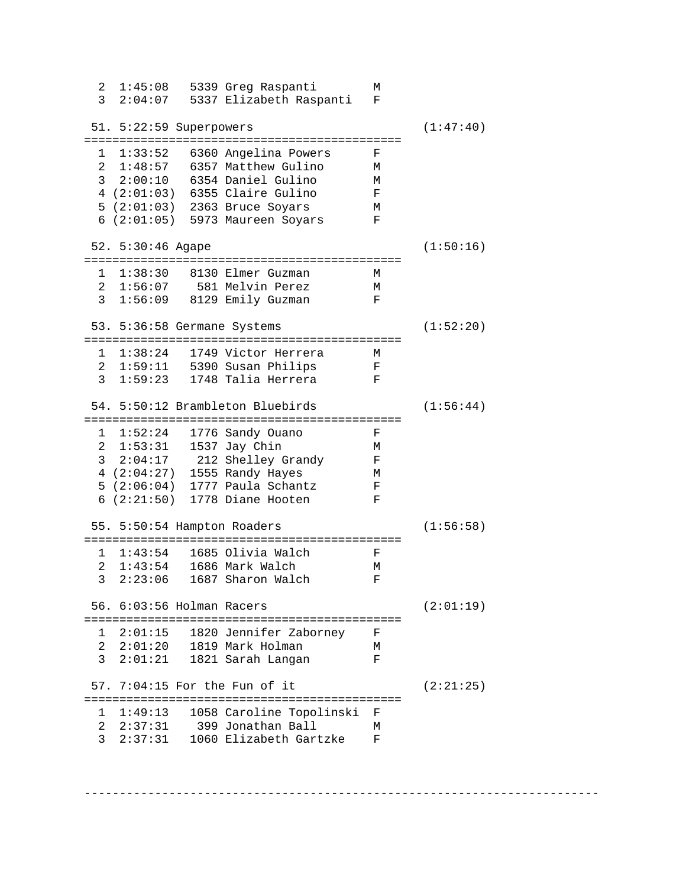2 1:45:08 5339 Greg Raspanti M 3 2:04:07 5337 Elizabeth Raspanti F 51. 5:22:59 Superpowers (1:47:40) ============================================= 1 1:33:52 6360 Angelina Powers F<br>2 1:48:57 6357 Matthew Gulino M 2 1:48:57 6357 Matthew Gulino 3 2:00:10 6354 Daniel Gulino M 4 (2:01:03) 6355 Claire Gulino F 5 (2:01:03) 2363 Bruce Soyars M 6 (2:01:05) 5973 Maureen Soyars F 52. 5:30:46 Agape (1:50:16) ============================================= 1 1:38:30 8130 Elmer Guzman 2 1:56:07 581 Melvin Perez M 3 1:56:09 8129 Emily Guzman F 53. 5:36:58 Germane Systems (1:52:20) ============================================= 1 1:38:24 1749 Victor Herrera M<br>2 1:59:11 5390 Susan Philips F 2 1:59:11 5390 Susan Philips<br>3 1:59:23 1748 Talia Herrera F 3 1:59:23 1748 Talia Herrera F 54. 5:50:12 Brambleton Bluebirds (1:56:44) ============================================= 1 1:52:24 1776 Sandy Ouano F 2 1:53:31 1537 Jay Chin M<br>3 2:04:17 212 Shelley Grandy F 212 Shelley Grandy F<br>1555 Randy Hayes M 4 (2:04:27) 1555 Randy Hayes M 5 (2:06:04) 1777 Paula Schantz F 6 (2:21:50) 1778 Diane Hooten F 55. 5:50:54 Hampton Roaders (1:56:58) ============================================= 1 1:43:54 1685 Olivia Walch F 2 1:43:54 1686 Mark Walch M<br>3 2:23:06 1687 Sharon Walch F 3 2:23:06 1687 Sharon Walch 56. 6:03:56 Holman Racers (2:01:19) ============================================= 1 2:01:15 1820 Jennifer Zaborney F 2 2:01:20 1819 Mark Holman M 3 2:01:21 1821 Sarah Langan F 57. 7:04:15 For the Fun of it (2:21:25) ============================================= 1 1:49:13 1058 Caroline Topolinski F 2 2:37:31 399 Jonathan Ball M 3 2:37:31 1060 Elizabeth Gartzke F

-------------------------------------------------------------------------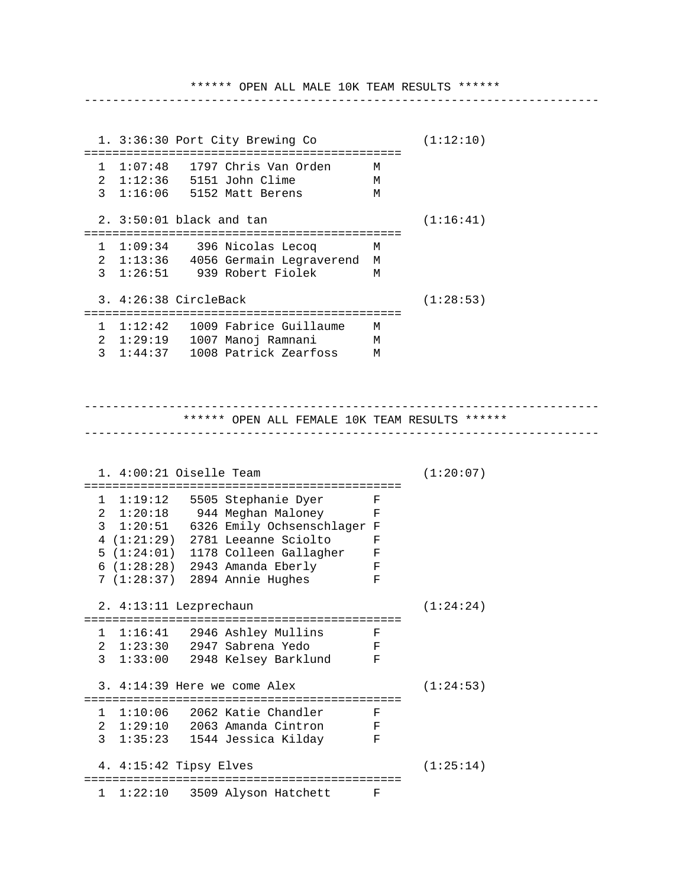## \*\*\*\*\*\* OPEN ALL MALE 10K TEAM RESULTS \*\*\*\*\*\* -------------------------------------------------------------------------

 1. 3:36:30 Port City Brewing Co (1:12:10) ============================================= 1 1:07:48 1797 Chris Van Orden M 2 1:12:36 5151 John Clime M 3 1:16:06 5152 Matt Berens 2. 3:50:01 black and tan (1:16:41) ============================================= 1 1:09:34 396 Nicolas Lecoq M 2 1:13:36 4056 Germain Legraverend M 3 1:26:51 939 Robert Fiolek M 3. 4:26:38 CircleBack (1:28:53) ============================================= 1 1:12:42 1009 Fabrice Guillaume M 2 1:29:19 1007 Manoj Ramnani M 3 1:44:37 1008 Patrick Zearfoss M

------------------------------------------------------------------------- \*\*\*\*\*\* OPEN ALL FEMALE 10K TEAM RESULTS \*\*\*\*\*\* -------------------------------------------------------------------------

 1. 4:00:21 Oiselle Team (1:20:07) ============================================= 1 1:19:12 5505 Stephanie Dyer F 2 1:20:18 944 Meghan Maloney F 3 1:20:51 6326 Emily Ochsenschlager F 4 (1:21:29) 2781 Leeanne Sciolto F 5 (1:24:01) 1178 Colleen Gallagher F 6 (1:28:28) 2943 Amanda Eberly F 7 (1:28:37) 2894 Annie Hughes F 2. 4:13:11 Lezprechaun (1:24:24) ============================================= 1 1:16:41 2946 Ashley Mullins F<br>2 1:23:30 2947 Sabrena Yedo F 2 1:23:30 2947 Sabrena Yedo F 3 1:33:00 2948 Kelsey Barklund F 3. 4:14:39 Here we come Alex (1:24:53) ============================================= 1 1:10:06 2062 Katie Chandler F<br>2 1:29:10 2063 Amanda Cintron F 2 1:29:10 2063 Amanda Cintron F<br>3 1:35:23 1544 Jessica Kilday F 3 1:35:23 1544 Jessica Kilday F 4. 4:15:42 Tipsy Elves (1:25:14) ============================================= 1 1:22:10 3509 Alyson Hatchett F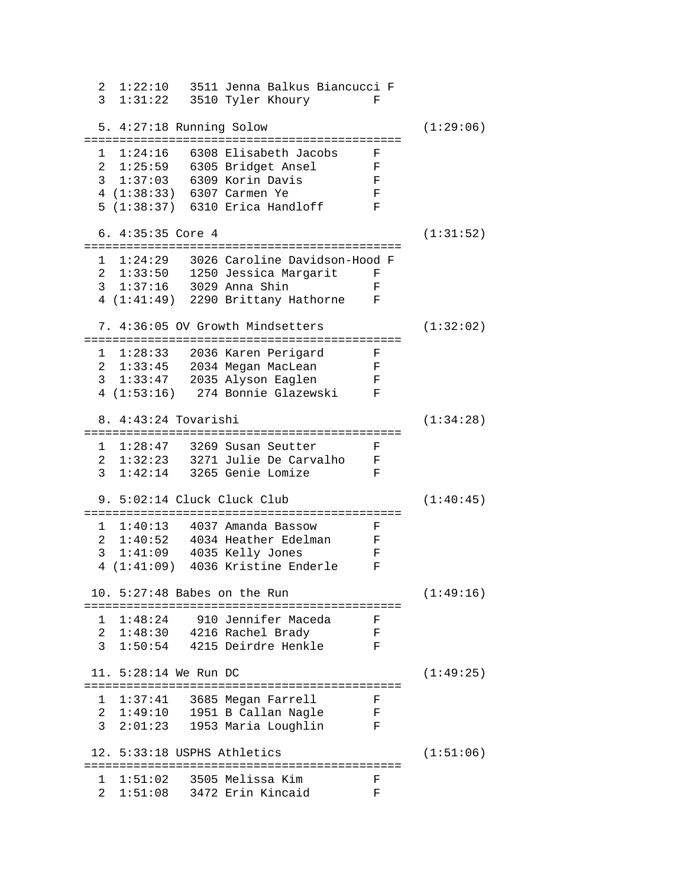2 1:22:10 3511 Jenna Balkus Biancucci F 3 1:31:22 3510 Tyler Khoury F 5. 4:27:18 Running Solow (1:29:06) ============================================= 1 1:24:16 6308 Elisabeth Jacobs F<br>2 1:25:59 6305 Bridget Ansel F 2 1:25:59 6305 Bridget Ansel F<br>3 1:37:03 6309 Korin Davis F 3 1:37:03 6309 Korin Davis<br>4 (1:38:33) 6307 Carmen Ye F 4 (1:38:33) 6307 Carmen Ye F 5 (1:38:37) 6310 Erica Handloff F 6. 4:35:35 Core 4 (1:31:52) ============================================= 1 1:24:29 3026 Caroline Davidson-Hood F 2 1:33:50 1250 Jessica Margarit F 3 1:37:16 3029 Anna Shin F 4 (1:41:49) 2290 Brittany Hathorne F 7. 4:36:05 OV Growth Mindsetters (1:32:02) ============================================= 1 1:28:33 2036 Karen Perigard F<br>2 1:33:45 2034 Megan MacLean F 2 1:33:45 2034 Megan MacLean F<br>3 1:33:47 2035 Alyson Eaglen F 3 1:33:47 2035 Alyson Eaglen F 4 (1:53:16) 274 Bonnie Glazewski F 8. 4:43:24 Tovarishi (1:34:28) ============================================= 1 1:28:47 3269 Susan Seutter F 2 1:32:23 3271 Julie De Carvalho F 3 1:42:14 3265 Genie Lomize F 9. 5:02:14 Cluck Cluck Club (1:40:45) ============================================= 1 1:40:13 4037 Amanda Bassow F 2 1:40:52 4034 Heather Edelman F 3 1:41:09 4035 Kelly Jones F 4 (1:41:09) 4036 Kristine Enderle F 10. 5:27:48 Babes on the Run (1:49:16) ============================================= 1 1:48:24 910 Jennifer Maceda F<br>2 1:48:30 4216 Bachel Brady F 2 1:48:30 4216 Rachel Brady F 3 1:50:54 4215 Deirdre Henkle F 11. 5:28:14 We Run DC (1:49:25) ============================================= 1 1:37:41 3685 Megan Farrell F 2 1:49:10 1951 B Callan Nagle F<br>3 2:01:23 1953 Maria Loughlin F 3 2:01:23 1953 Maria Loughlin 12. 5:33:18 USPHS Athletics (1:51:06) ============================================= 1 1:51:02 3505 Melissa Kim F<br>2 1:51:08 3472 Frin Kincaid F 2 1:51:08 3472 Erin Kincaid F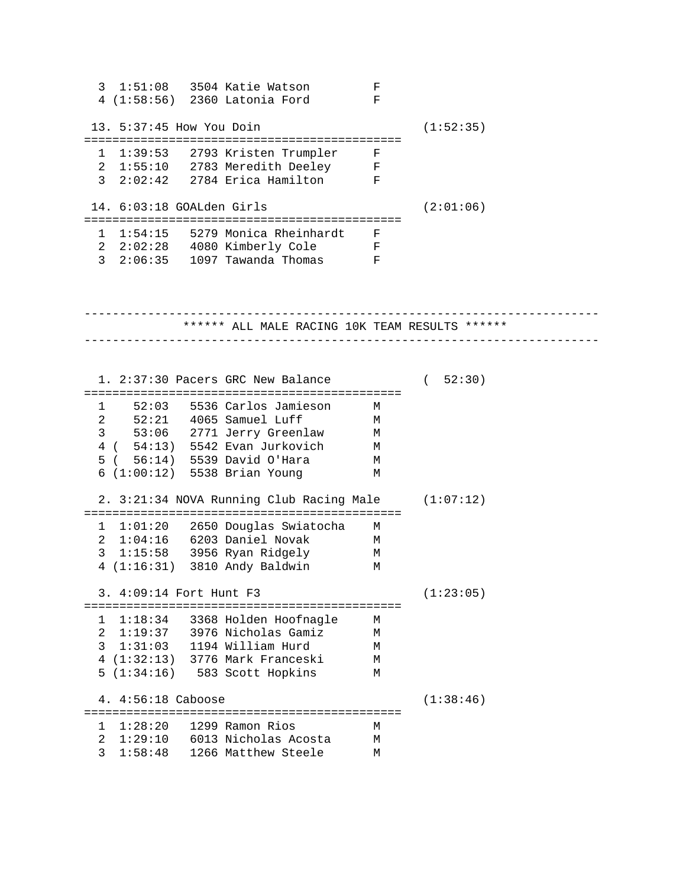3 1:51:08 3504 Katie Watson F 4 (1:58:56) 2360 Latonia Ford F 13. 5:37:45 How You Doin (1:52:35) ============================================= 1 1:39:53 2793 Kristen Trumpler F 2 1:55:10 2783 Meredith Deeley F 3 2:02:42 2784 Erica Hamilton F 14. 6:03:18 GOALden Girls (2:01:06) ============================================= 1 1:54:15 5279 Monica Rheinhardt F<br>2 2:02:28 4080 Kimberly Cole F 2 2:02:28 4080 Kimberly Cole F 3 2:06:35 1097 Tawanda Thomas F

------------------------------------------------------------------------- \*\*\*\*\*\* ALL MALE RACING 10K TEAM RESULTS \*\*\*\*\*\* -------------------------------------------------------------------------

| 1. 2:37:30 Pacers GRC New Balance                                                                                                                                                                |                                   | (52:30)   |
|--------------------------------------------------------------------------------------------------------------------------------------------------------------------------------------------------|-----------------------------------|-----------|
| 52:03    5536 Carlos Jamieson<br>$\mathbf{1}$<br>2 52:21 4065 Samuel Luff<br>3 53:06 2771 Jerry Greenlaw M<br>4 ( 54:13) 5542 Evan Jurkovich M                                                   | M<br><b>M</b>                     |           |
| 5 ( 56:14) 5539 David O'Hara<br>6 (1:00:12) 5538 Brian Young                                                                                                                                     | <b>M</b><br>M                     |           |
| 2. 3:21:34 NOVA Running Club Racing Male (1:07:12)<br>1 1:01:20 2650 Douglas Swiatocha<br>2 1:04:16 6203 Daniel Novak<br>3 1:15:58 3956 Ryan Ridgely M<br>4 (1:16:31) 3810 Andy Baldwin          | M<br>M<br><b>N</b>                |           |
| 3. 4:09:14 Fort Hunt F3<br>1 1:18:34 3368 Holden Hoofnagle<br>2 1:19:37 3976 Nicholas Gamiz<br>3 1:31:03 1194 William Hurd<br>4 (1:32:13) 3776 Mark Franceski M<br>5 (1:34:16) 583 Scott Hopkins | M<br><b>N</b><br>$M_{\odot}$<br>M | (1:23:05) |
| 4. $4:56:18$ Caboose<br>1 1:28:20 1299 Ramon Rios                                                                                                                                                | M                                 | (1:38:46) |
| 2 1:29:10    6013    Nicholas Acosta    M<br>3 1:58:48 1266 Matthew Steele                                                                                                                       | M                                 |           |